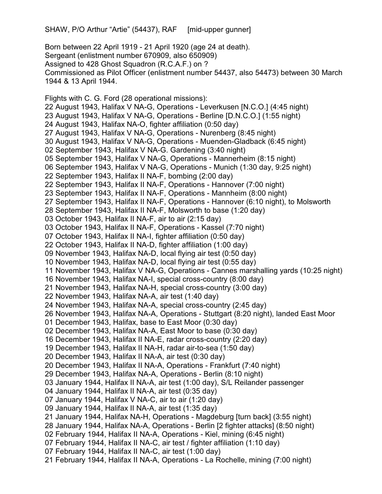SHAW, P/O Arthur "Artie" (54437), RAF [mid-upper gunner]

Born between 22 April 1919 - 21 April 1920 (age 24 at death). Sergeant (enlistment number 670909, also 650909) Assigned to 428 Ghost Squadron (R.C.A.F.) on ? Commissioned as Pilot Officer (enlistment number 54437, also 54473) between 30 March 1944 & 13 April 1944.

Flights with C. G. Ford (28 operational missions): 22 August 1943, Halifax V NA-G, Operations - Leverkusen [N.C.O.] (4:45 night) 23 August 1943, Halifax V NA-G, Operations - Berline [D.N.C.O.] (1:55 night) 24 August 1943, Halifax NA-O, fighter affiliation (0:50 day) 27 August 1943, Halifax V NA-G, Operations - Nurenberg (8:45 night) 30 August 1943, Halifax V NA-G, Operations - Muenden-Gladback (6:45 night) 02 September 1943, Halifax V NA-G. Gardening (3:40 night) 05 September 1943, Halifax V NA-G, Operations - Mannerheim (8:15 night) 06 September 1943, Halifax V NA-G, Operations - Munich (1:30 day, 9:25 night) 22 September 1943, Halifax II NA-F, bombing (2:00 day) 22 September 1943, Halifax II NA-F, Operations - Hannover (7:00 night) 23 September 1943, Halifax II NA-F, Operations - Mannheim (8:00 night) 27 September 1943, Halifax II NA-F, Operations - Hannover (6:10 night), to Molsworth 28 September 1943, Halifax II NA-F, Molsworth to base (1:20 day) 03 October 1943, Halifax II NA-F, air to air (2:15 day) 03 October 1943, Halifax II NA-F, Operations - Kassel (7:70 night) 07 October 1943, Halifax II NA-I, fighter affiliation (0:50 day) 22 October 1943, Halifax II NA-D, fighter affiliation (1:00 day) 09 November 1943, Halifax NA-D, local flying air test (0:50 day) 10 November 1943, Halifax NA-D, local flying air test (0:55 day) 11 November 1943, Halifax V NA-G, Operations - Cannes marshalling yards (10:25 night) 16 November 1943, Halifax NA-I, special cross-country (8:00 day) 21 November 1943, Halifax NA-H, special cross-country (3:00 day) 22 November 1943, Halifax NA-A, air test (1:40 day) 24 November 1943, Halifax NA-A, special cross-country (2:45 day) 26 November 1943, Halifax NA-A, Operations - Stuttgart (8:20 night), landed East Moor 01 December 1943, Halifax, base to East Moor (0:30 day) 02 December 1943, Halifax NA-A, East Moor to base (0:30 day) 16 December 1943, Halifax II NA-E, radar cross-country (2:20 day) 19 December 1943, Halifax II NA-H, radar air-to-sea (1:50 day) 20 December 1943, Halifax II NA-A, air test (0:30 day) 20 December 1943, Halifax II NA-A, Operations - Frankfurt (7:40 night) 29 December 1943, Halifax NA-A, Operations - Berlin (8:10 night) 03 January 1944, Halifax II NA-A, air test (1:00 day), S/L Reilander passenger 04 January 1944, Halifax II NA-A, air test (0:35 day) 07 January 1944, Halifax V NA-C, air to air (1:20 day) 09 January 1944, Halifax II NA-A, air test (1:35 day) 21 January 1944, Halifax NA-H, Operations - Magdeburg [turn back] (3:55 night) 28 January 1944, Halifax NA-A, Operations - Berlin [2 fighter attacks] (8:50 night) 02 February 1944, Halifax II NA-A, Operations - Kiel, mining (6:45 night) 07 February 1944, Halifax II NA-C, air test / fighter affiliation (1:10 day) 07 February 1944, Halifax II NA-C, air test (1:00 day) 21 February 1944, Halifax II NA-A, Operations - La Rochelle, mining (7:00 night)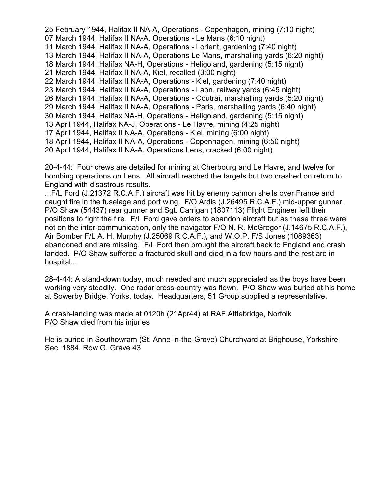25 February 1944, Halifax II NA-A, Operations - Copenhagen, mining (7:10 night) 07 March 1944, Halifax II NA-A, Operations - Le Mans (6:10 night) 11 March 1944, Halifax II NA-A, Operations - Lorient, gardening (7:40 night) 13 March 1944, Halifax II NA-A, Operations Le Mans, marshalling yards (6:20 night) 18 March 1944, Halifax NA-H, Operations - Heligoland, gardening (5:15 night) 21 March 1944, Halifax II NA-A, Kiel, recalled (3:00 night) 22 March 1944, Halifax II NA-A, Operations - Kiel, gardening (7:40 night) 23 March 1944, Halifax II NA-A, Operations - Laon, railway yards (6:45 night) 26 March 1944, Halifax II NA-A, Operations - Coutrai, marshalling yards (5:20 night) 29 March 1944, Halifax II NA-A, Operations - Paris, marshalling yards (6:40 night) 30 March 1944, Halifax NA-H, Operations - Heligoland, gardening (5:15 night) 13 April 1944, Halifax NA-J, Operations - Le Havre, mining (4:25 night) 17 April 1944, Halifax II NA-A, Operations - Kiel, mining (6:00 night) 18 April 1944, Halifax II NA-A, Operations - Copenhagen, mining (6:50 night) 20 April 1944, Halifax II NA-A, Operations Lens, cracked (6:00 night)

20-4-44: Four crews are detailed for mining at Cherbourg and Le Havre, and twelve for bombing operations on Lens. All aircraft reached the targets but two crashed on return to England with disastrous results.

...F/L Ford (J.21372 R.C.A.F.) aircraft was hit by enemy cannon shells over France and caught fire in the fuselage and port wing. F/O Ardis (J.26495 R.C.A.F.) mid-upper gunner, P/O Shaw (54437) rear gunner and Sgt. Carrigan (1807113) Flight Engineer left their positions to fight the fire. F/L Ford gave orders to abandon aircraft but as these three were not on the inter-communication, only the navigator F/O N. R. McGregor (J.14675 R.C.A.F.), Air Bomber F/L A. H. Murphy (J.25069 R.C.A.F.), and W.O.P. F/S Jones (1089363) abandoned and are missing. F/L Ford then brought the aircraft back to England and crash landed. P/O Shaw suffered a fractured skull and died in a few hours and the rest are in hospital...

28-4-44: A stand-down today, much needed and much appreciated as the boys have been working very steadily. One radar cross-country was flown. P/O Shaw was buried at his home at Sowerby Bridge, Yorks, today. Headquarters, 51 Group supplied a representative.

A crash-landing was made at 0120h (21Apr44) at RAF Attlebridge, Norfolk P/O Shaw died from his injuries

He is buried in Southowram (St. Anne-in-the-Grove) Churchyard at Brighouse, Yorkshire Sec. 1884. Row G. Grave 43